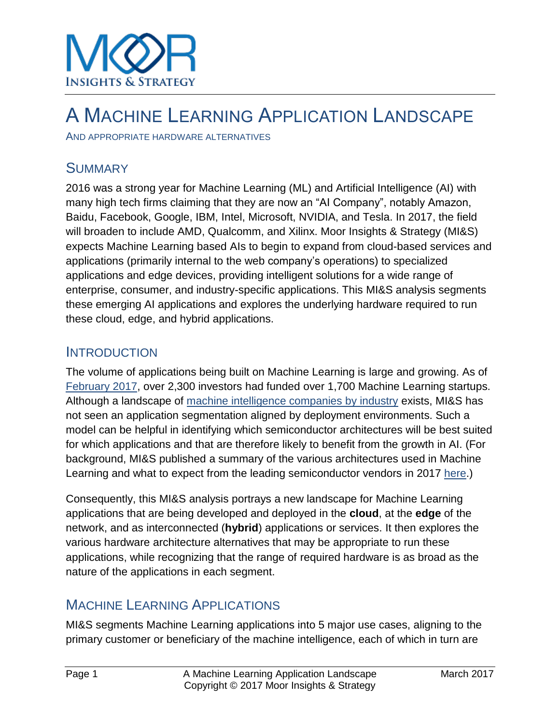

## A MACHINE LEARNING APPLICATION LANDSCAPE

AND APPROPRIATE HARDWARE ALTERNATIVES

#### **SUMMARY**

2016 was a strong year for Machine Learning (ML) and Artificial Intelligence (AI) with many high tech firms claiming that they are now an "AI Company", notably Amazon, Baidu, Facebook, Google, IBM, Intel, Microsoft, NVIDIA, and Tesla. In 2017, the field will broaden to include AMD, Qualcomm, and Xilinx. Moor Insights & Strategy (MI&S) expects Machine Learning based AIs to begin to expand from cloud-based services and applications (primarily internal to the web company's operations) to specialized applications and edge devices, providing intelligent solutions for a wide range of enterprise, consumer, and industry-specific applications. This MI&S analysis segments these emerging AI applications and explores the underlying hardware required to run these cloud, edge, and hybrid applications.

#### **INTRODUCTION**

The volume of applications being built on Machine Learning is large and growing. As of [February 2017,](https://angel.co/machine-learning) over 2,300 investors had funded over 1,700 Machine Learning startups. Although a landscape of [machine intelligence companies by industry](http://www.shivonzilis.com/) exists, MI&S has not seen an application segmentation aligned by deployment environments. Such a model can be helpful in identifying which semiconductor architectures will be best suited for which applications and that are therefore likely to benefit from the growth in AI. (For background, MI&S published a summary of the various architectures used in Machine Learning and what to expect from the leading semiconductor vendors in 2017 [here.](http://www.moorinsightsstrategy.com/what-to-expect-in-2017-from-amd-intel-nvidia-xilinx-and-others-for-machine-learning/))

Consequently, this MI&S analysis portrays a new landscape for Machine Learning applications that are being developed and deployed in the **cloud**, at the **edge** of the network, and as interconnected (**hybrid**) applications or services. It then explores the various hardware architecture alternatives that may be appropriate to run these applications, while recognizing that the range of required hardware is as broad as the nature of the applications in each segment.

#### MACHINE LEARNING APPLICATIONS

MI&S segments Machine Learning applications into 5 major use cases, aligning to the primary customer or beneficiary of the machine intelligence, each of which in turn are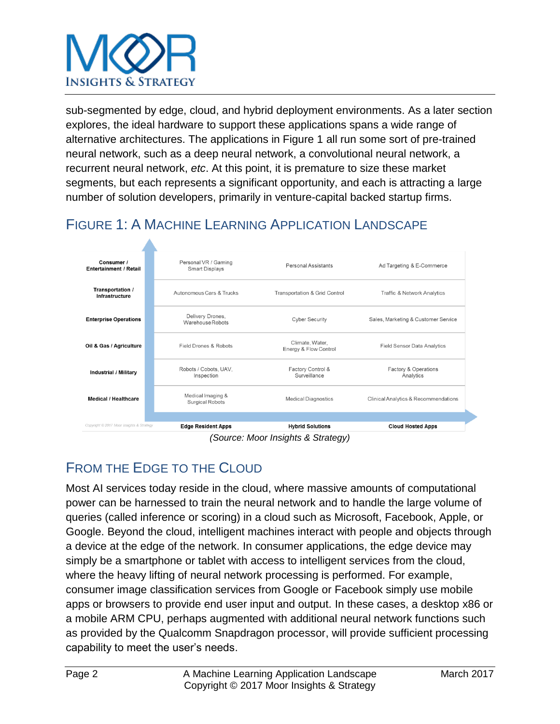

sub-segmented by edge, cloud, and hybrid deployment environments. As a later section explores, the ideal hardware to support these applications spans a wide range of alternative architectures. The applications in Figure 1 all run some sort of pre-trained neural network, such as a deep neural network, a convolutional neural network, a recurrent neural network, *etc*. At this point, it is premature to size these market segments, but each represents a significant opportunity, and each is attracting a large number of solution developers, primarily in venture-capital backed startup firms.

## FIGURE 1: A MACHINE LEARNING APPLICATION LANDSCAPE



*(Source: Moor Insights & Strategy)*

## FROM THE EDGE TO THE CLOUD

Most AI services today reside in the cloud, where massive amounts of computational power can be harnessed to train the neural network and to handle the large volume of queries (called inference or scoring) in a cloud such as Microsoft, Facebook, Apple, or Google. Beyond the cloud, intelligent machines interact with people and objects through a device at the edge of the network. In consumer applications, the edge device may simply be a smartphone or tablet with access to intelligent services from the cloud, where the heavy lifting of neural network processing is performed. For example, consumer image classification services from Google or Facebook simply use mobile apps or browsers to provide end user input and output. In these cases, a desktop x86 or a mobile ARM CPU, perhaps augmented with additional neural network functions such as provided by the Qualcomm Snapdragon processor, will provide sufficient processing capability to meet the user's needs.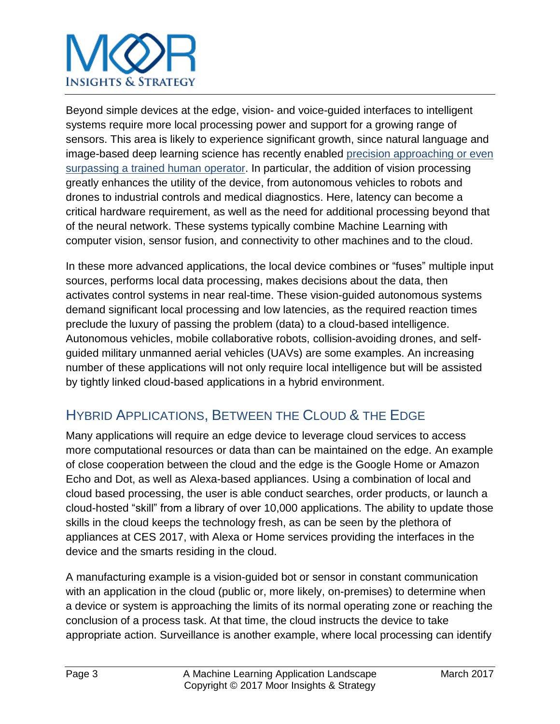# **INSIGHTS & STRATEGY**

Beyond simple devices at the edge, vision- and voice-guided interfaces to intelligent systems require more local processing power and support for a growing range of sensors. This area is likely to experience significant growth, since natural language and image-based deep learning science has recently enabled [precision approaching or even](https://blogs.microsoft.com/next/2016/10/18/historic-achievement-microsoft-researchers-reach-human-parity-conversational-speech-recognition/#sm.00009j34fe10wsf6svqx61eb4ig9u)  [surpassing a trained human operator.](https://blogs.microsoft.com/next/2016/10/18/historic-achievement-microsoft-researchers-reach-human-parity-conversational-speech-recognition/#sm.00009j34fe10wsf6svqx61eb4ig9u) In particular, the addition of vision processing greatly enhances the utility of the device, from autonomous vehicles to robots and drones to industrial controls and medical diagnostics. Here, latency can become a critical hardware requirement, as well as the need for additional processing beyond that of the neural network. These systems typically combine Machine Learning with computer vision, sensor fusion, and connectivity to other machines and to the cloud.

In these more advanced applications, the local device combines or "fuses" multiple input sources, performs local data processing, makes decisions about the data, then activates control systems in near real-time. These vision-guided autonomous systems demand significant local processing and low latencies, as the required reaction times preclude the luxury of passing the problem (data) to a cloud-based intelligence. Autonomous vehicles, mobile collaborative robots, collision-avoiding drones, and selfguided military unmanned aerial vehicles (UAVs) are some examples. An increasing number of these applications will not only require local intelligence but will be assisted by tightly linked cloud-based applications in a hybrid environment.

## HYBRID APPLICATIONS, BETWEEN THE CLOUD & THE EDGE

Many applications will require an edge device to leverage cloud services to access more computational resources or data than can be maintained on the edge. An example of close cooperation between the cloud and the edge is the Google Home or Amazon Echo and Dot, as well as Alexa-based appliances. Using a combination of local and cloud based processing, the user is able conduct searches, order products, or launch a cloud-hosted "skill" from a library of over 10,000 applications. The ability to update those skills in the cloud keeps the technology fresh, as can be seen by the plethora of appliances at CES 2017, with Alexa or Home services providing the interfaces in the device and the smarts residing in the cloud.

A manufacturing example is a vision-guided bot or sensor in constant communication with an application in the cloud (public or, more likely, on-premises) to determine when a device or system is approaching the limits of its normal operating zone or reaching the conclusion of a process task. At that time, the cloud instructs the device to take appropriate action. Surveillance is another example, where local processing can identify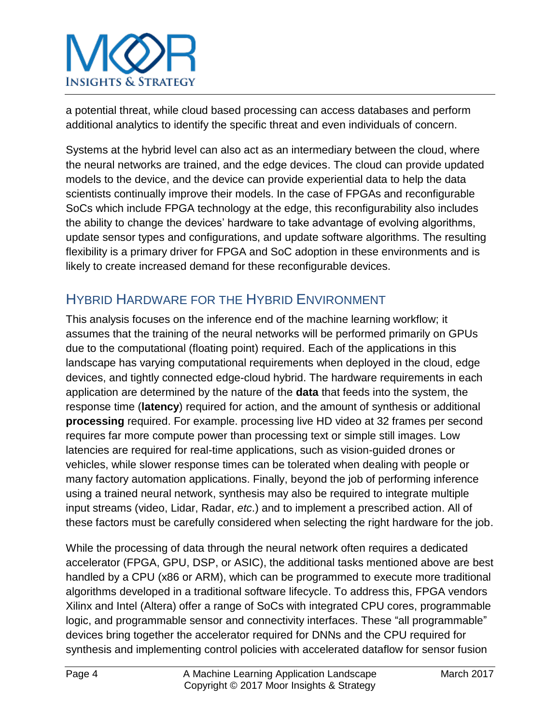

a potential threat, while cloud based processing can access databases and perform additional analytics to identify the specific threat and even individuals of concern.

Systems at the hybrid level can also act as an intermediary between the cloud, where the neural networks are trained, and the edge devices. The cloud can provide updated models to the device, and the device can provide experiential data to help the data scientists continually improve their models. In the case of FPGAs and reconfigurable SoCs which include FPGA technology at the edge, this reconfigurability also includes the ability to change the devices' hardware to take advantage of evolving algorithms, update sensor types and configurations, and update software algorithms. The resulting flexibility is a primary driver for FPGA and SoC adoption in these environments and is likely to create increased demand for these reconfigurable devices.

#### HYBRID HARDWARE FOR THE HYBRID ENVIRONMENT

This analysis focuses on the inference end of the machine learning workflow; it assumes that the training of the neural networks will be performed primarily on GPUs due to the computational (floating point) required. Each of the applications in this landscape has varying computational requirements when deployed in the cloud, edge devices, and tightly connected edge-cloud hybrid. The hardware requirements in each application are determined by the nature of the **data** that feeds into the system, the response time (**latency**) required for action, and the amount of synthesis or additional **processing** required. For example. processing live HD video at 32 frames per second requires far more compute power than processing text or simple still images. Low latencies are required for real-time applications, such as vision-guided drones or vehicles, while slower response times can be tolerated when dealing with people or many factory automation applications. Finally, beyond the job of performing inference using a trained neural network, synthesis may also be required to integrate multiple input streams (video, Lidar, Radar, *etc*.) and to implement a prescribed action. All of these factors must be carefully considered when selecting the right hardware for the job.

While the processing of data through the neural network often requires a dedicated accelerator (FPGA, GPU, DSP, or ASIC), the additional tasks mentioned above are best handled by a CPU (x86 or ARM), which can be programmed to execute more traditional algorithms developed in a traditional software lifecycle. To address this, FPGA vendors Xilinx and Intel (Altera) offer a range of SoCs with integrated CPU cores, programmable logic, and programmable sensor and connectivity interfaces. These "all programmable" devices bring together the accelerator required for DNNs and the CPU required for synthesis and implementing control policies with accelerated dataflow for sensor fusion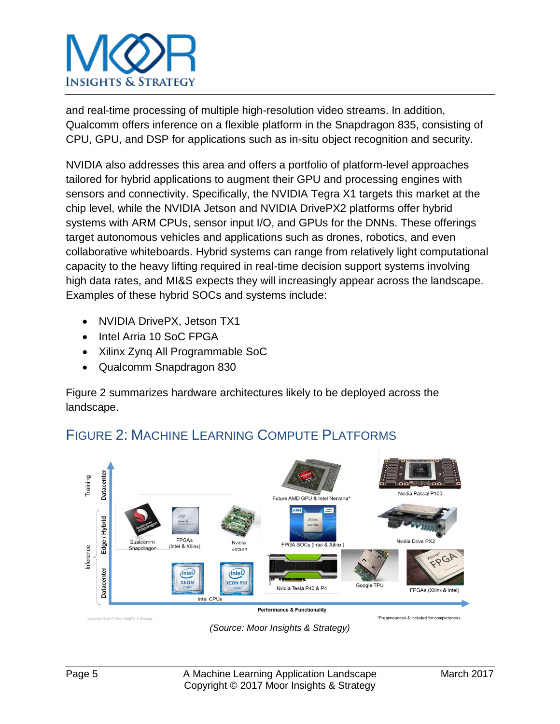

and real-time processing of multiple high-resolution video streams. In addition, Qualcomm offers inference on a flexible platform in the Snapdragon 835, consisting of CPU, GPU, and DSP for applications such as in-situ object recognition and security.

NVIDIA also addresses this area and offers a portfolio of platform-level approaches tailored for hybrid applications to augment their GPU and processing engines with sensors and connectivity. Specifically, the NVIDIA Tegra X1 targets this market at the chip level, while the NVIDIA Jetson and NVIDIA DrivePX2 platforms offer hybrid systems with ARM CPUs, sensor input I/O, and GPUs for the DNNs. These offerings target autonomous vehicles and applications such as drones, robotics, and even collaborative whiteboards. Hybrid systems can range from relatively light computational capacity to the heavy lifting required in real-time decision support systems involving high data rates, and MI&S expects they will increasingly appear across the landscape. Examples of these hybrid SOCs and systems include:

- NVIDIA DrivePX, Jetson TX1
- Intel Arria 10 SoC FPGA
- Xilinx Zyng All Programmable SoC
- Qualcomm Snapdragon 830

Figure 2 summarizes hardware architectures likely to be deployed across the landscape.



## FIGURE 2: MACHINE LEARNING COMPUTE PLATFORMS

*(Source: Moor Insights & Strategy)*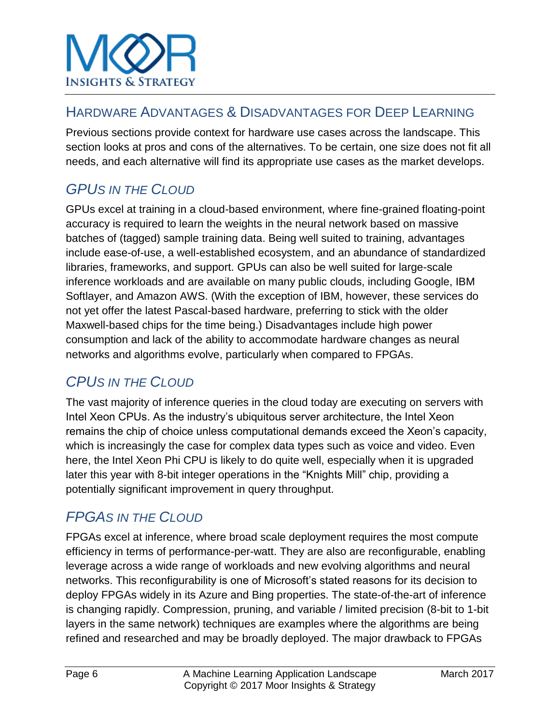#### HARDWARE ADVANTAGES & DISADVANTAGES FOR DEEP LEARNING

Previous sections provide context for hardware use cases across the landscape. This section looks at pros and cons of the alternatives. To be certain, one size does not fit all needs, and each alternative will find its appropriate use cases as the market develops.

## *GPUS IN THE CLOUD*

GPUs excel at training in a cloud-based environment, where fine-grained floating-point accuracy is required to learn the weights in the neural network based on massive batches of (tagged) sample training data. Being well suited to training, advantages include ease-of-use, a well-established ecosystem, and an abundance of standardized libraries, frameworks, and support. GPUs can also be well suited for large-scale inference workloads and are available on many public clouds, including Google, IBM Softlayer, and Amazon AWS. (With the exception of IBM, however, these services do not yet offer the latest Pascal-based hardware, preferring to stick with the older Maxwell-based chips for the time being.) Disadvantages include high power consumption and lack of the ability to accommodate hardware changes as neural networks and algorithms evolve, particularly when compared to FPGAs.

## *CPUS IN THE CLOUD*

The vast majority of inference queries in the cloud today are executing on servers with Intel Xeon CPUs. As the industry's ubiquitous server architecture, the Intel Xeon remains the chip of choice unless computational demands exceed the Xeon's capacity, which is increasingly the case for complex data types such as voice and video. Even here, the Intel Xeon Phi CPU is likely to do quite well, especially when it is upgraded later this year with 8-bit integer operations in the "Knights Mill" chip, providing a potentially significant improvement in query throughput.

## *FPGAS IN THE CLOUD*

FPGAs excel at inference, where broad scale deployment requires the most compute efficiency in terms of performance-per-watt. They are also are reconfigurable, enabling leverage across a wide range of workloads and new evolving algorithms and neural networks. This reconfigurability is one of Microsoft's stated reasons for its decision to deploy FPGAs widely in its Azure and Bing properties. The state-of-the-art of inference is changing rapidly. Compression, pruning, and variable / limited precision (8-bit to 1-bit layers in the same network) techniques are examples where the algorithms are being refined and researched and may be broadly deployed. The major drawback to FPGAs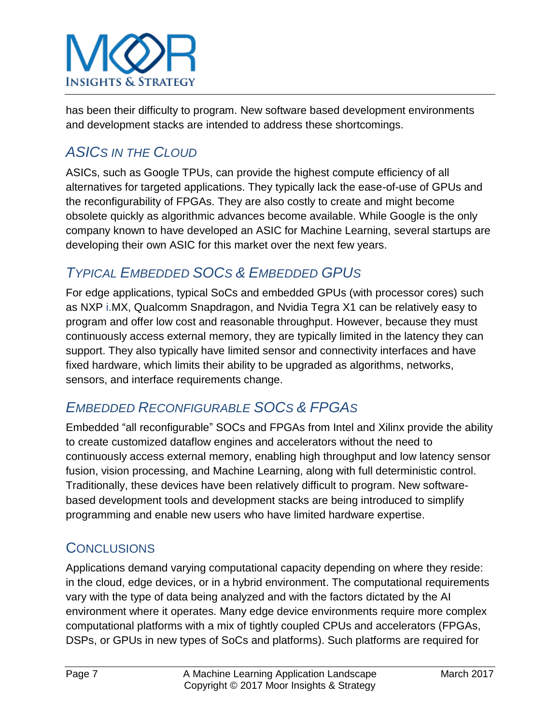

has been their difficulty to program. New software based development environments and development stacks are intended to address these shortcomings.

## *ASICS IN THE CLOUD*

ASICs, such as Google TPUs, can provide the highest compute efficiency of all alternatives for targeted applications. They typically lack the ease-of-use of GPUs and the reconfigurability of FPGAs. They are also costly to create and might become obsolete quickly as algorithmic advances become available. While Google is the only company known to have developed an ASIC for Machine Learning, several startups are developing their own ASIC for this market over the next few years.

#### *TYPICAL EMBEDDED SOCS & EMBEDDED GPUS*

For edge applications, typical SoCs and embedded GPUs (with processor cores) such as NXP i.MX, Qualcomm Snapdragon, and Nvidia Tegra X1 can be relatively easy to program and offer low cost and reasonable throughput. However, because they must continuously access external memory, they are typically limited in the latency they can support. They also typically have limited sensor and connectivity interfaces and have fixed hardware, which limits their ability to be upgraded as algorithms, networks, sensors, and interface requirements change.

#### *EMBEDDED RECONFIGURABLE SOCS & FPGAS*

Embedded "all reconfigurable" SOCs and FPGAs from Intel and Xilinx provide the ability to create customized dataflow engines and accelerators without the need to continuously access external memory, enabling high throughput and low latency sensor fusion, vision processing, and Machine Learning, along with full deterministic control. Traditionally, these devices have been relatively difficult to program. New softwarebased development tools and development stacks are being introduced to simplify programming and enable new users who have limited hardware expertise.

#### **CONCLUSIONS**

Applications demand varying computational capacity depending on where they reside: in the cloud, edge devices, or in a hybrid environment. The computational requirements vary with the type of data being analyzed and with the factors dictated by the AI environment where it operates. Many edge device environments require more complex computational platforms with a mix of tightly coupled CPUs and accelerators (FPGAs, DSPs, or GPUs in new types of SoCs and platforms). Such platforms are required for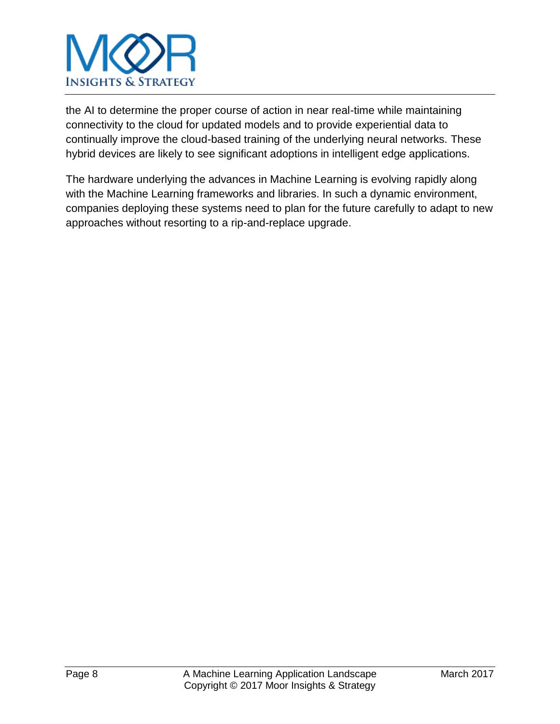

the AI to determine the proper course of action in near real-time while maintaining connectivity to the cloud for updated models and to provide experiential data to continually improve the cloud-based training of the underlying neural networks. These hybrid devices are likely to see significant adoptions in intelligent edge applications.

The hardware underlying the advances in Machine Learning is evolving rapidly along with the Machine Learning frameworks and libraries. In such a dynamic environment, companies deploying these systems need to plan for the future carefully to adapt to new approaches without resorting to a rip-and-replace upgrade.